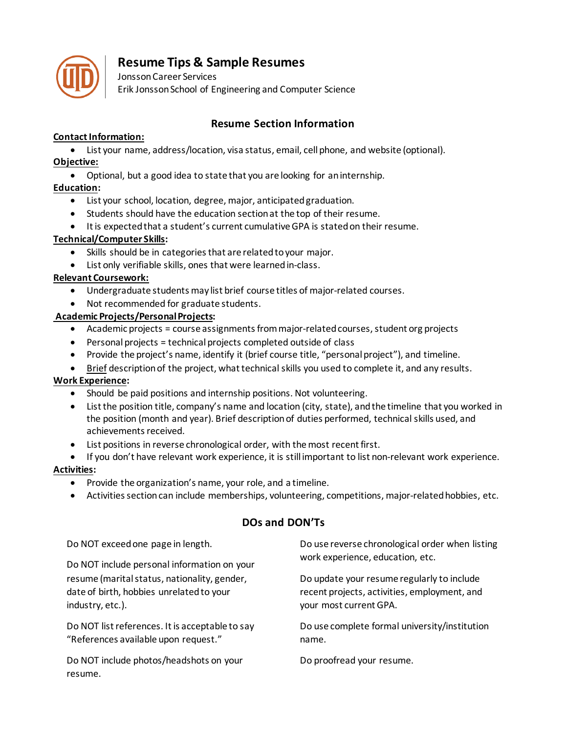

# **Resume Tips & Sample Resumes**

Jonsson Career Services Erik Jonsson School of Engineering and Computer Science

# **Resume Section Information**

# **Contact Information:**

• List your name, address/location, visa status, email, cell phone, and website (optional). **Objective:**

• Optional, but a good idea to state that you are looking for an internship.

# **Education:**

- List your school, location, degree, major, anticipated graduation.
- Students should have the education section at the top of their resume.
- It is expected that a student's current cumulative GPA is stated on their resume.

# **Technical/Computer Skills:**

- Skills should be in categories that are related to your major.
- List only verifiable skills, ones that were learned in-class.

# **Relevant Coursework:**

- Undergraduate students may list brief course titles of major-related courses.
- Not recommended for graduate students.

# **Academic Projects/Personal Projects:**

- Academic projects = course assignments from major-related courses, student org projects
- Personal projects = technical projects completed outside of class
- Provide the project's name, identify it (brief course title, "personal project"), and timeline.
- Brief description of the project, what technical skills you used to complete it, and any results.

# **Work Experience:**

- Should be paid positions and internship positions. Not volunteering.
- List the position title, company's name and location (city, state), and the timeline that you worked in the position (month and year). Brief description of duties performed, technical skills used, and achievements received.
- List positions in reverse chronological order, with the most recent first.
- If you don't have relevant work experience, it is still important to list non-relevant work experience.

# **Activities:**

- Provide the organization's name, your role, and a timeline.
- Activities section can include memberships, volunteering, competitions, major-related hobbies, etc.

# **DOs and DON'Ts**

Do NOT exceed one page in length.

Do NOT include personal information on your resume (marital status, nationality, gender, date of birth, hobbies unrelated to your industry, etc.).

Do NOT list references. It is acceptable to say "References available upon request."

Do NOT include photos/headshots on your resume.

Do use reverse chronological order when listing work experience, education, etc.

Do update your resume regularly to include recent projects, activities, employment, and your most current GPA.

Do use complete formal university/institution name.

Do proofread your resume.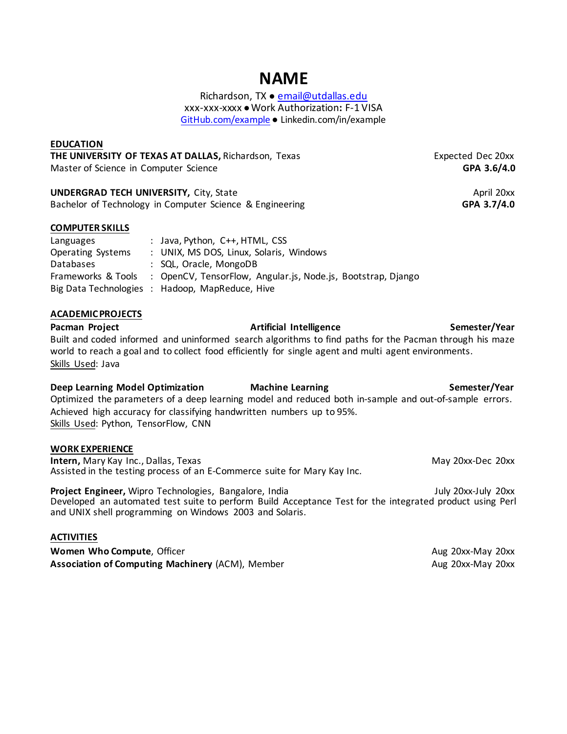# **NAME**

Richardson, TX ● [email@utdallas.edu](mailto:email@utdallas.edu) xxx-xxx-xxxx ● Work Authorization**:** F-1 VISA [GitHub.com/example](https://github.com/example)● Linkedin.com/in/example

### **EDUCATION**

**THE UNIVERSITY OF TEXAS AT DALLAS, Richardson, Texas Expected Dec 20xx**<br>Master of Science in Computer Science Master of Science in Computer Science

**UNDERGRAD TECH UNIVERSITY,** City, State **April 20xx** April 20xx<br>Bachelor of Technology in Computer Science & Engineering **April 20xx** GPA 3.7/4.0 Bachelor of Technology in Computer Science & Engineering

### **COMPUTER SKILLS**

Languages : Java, Python, C++, HTML, CSS Operating Systems : UNIX, MS DOS, Linux, Solaris, Windows Databases : SQL, Oracle, MongoDB Frameworks & Tools : OpenCV, TensorFlow, Angular.js, Node.js, Bootstrap, Django Big Data Technologies : Hadoop, MapReduce, Hive

### **ACADEMIC PROJECTS**

Pacman Project **Artificial Intelligence** Artificial Intelligence Semester/Year Built and coded informed and uninformed search algorithms to find paths for the Pacman through his maze world to reach a goal and to collect food efficiently for single agent and multi agent environments. Skills Used: Java

### **Deep Learning Model Optimization Machine Learning The Communist Communist Communist Communist Communist Communist Communist Communist Communist Communist Communist Communist Communist Communist Communist Communist Communi**

Optimized the parameters of a deep learning model and reduced both in-sample and out-of-sample errors. Achieved high accuracy for classifying handwritten numbers up to 95%. Skills Used: Python, TensorFlow, CNN

### **WORK EXPERIENCE**

**Intern,** Mary Kay Inc., Dallas, TexasMay 20xx-Dec 20xx Assisted in the testing process of an E-Commerce suite for Mary Kay Inc.

**Project Engineer,** Wipro Technologies, Bangalore, IndiaJuly 20xx-July 20xx Developed an automated test suite to perform Build Acceptance Test for the integrated product using Perl and UNIX shell programming on Windows 2003 and Solaris.

### **ACTIVITIES**

**Women Who Compute**, Officer Aug 20xx-May 20xx-May 20xx-May 20xx-May 20xx-May 20xx-May 20xx-May 20xx-May 20xx-May 20xx-May 20xx-May 20xx-May 20xx-May 20xx-May 20xx-May 20xx-May 20xx-May 20xx-May 20xx-May 20xx-May 20xx-May **Association of Computing Machinery (ACM), Member Aug 20xx-May 20xx-May 20xx-May 20xx-May 20xx**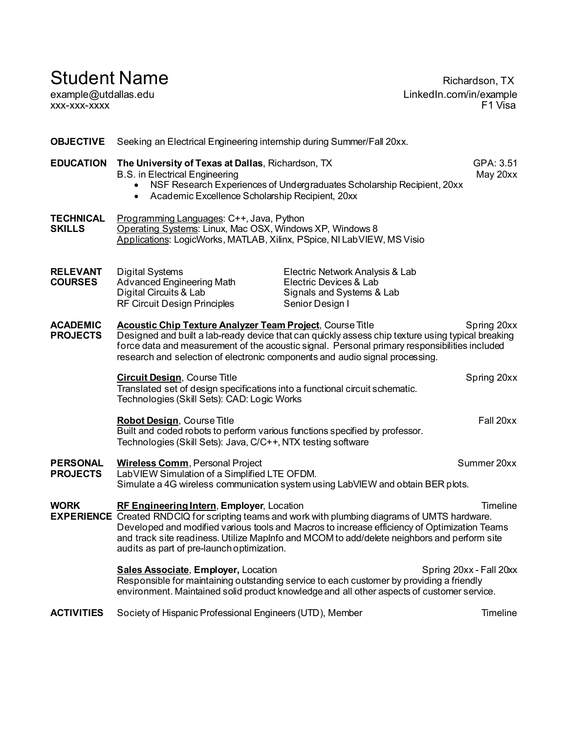# Student Name Richardson, TX

xxx-xxx-xxxx F1 Visa

example@utdallas.edu LinkedIn.com/in/example

# **OBJECTIVE** Seeking an Electrical Engineering internship during Summer/Fall 20xx. **EDUCATION** The University of Texas at Dallas, Richardson, TX GPA: 3.51 B.S. in Electrical Engineering May 20xx • NSF Research Experiences of Undergraduates Scholarship Recipient, 20xx • Academic Excellence Scholarship Recipient, 20xx **TECHNICAL** Programming Languages: C++, Java, Python<br>**SKILLS** Operating Systems: Linux, Mac OSX, Window **Operating Systems: Linux, Mac OSX, Windows XP, Windows 8** Applications: LogicWorks, MATLAB, Xilinx, PSpice, NI LabVIEW, MS Visio **RELEVANT** Digital Systems **Electric Network Analysis & Lab**<br> **COURSES** Advanced Engineering Math Electric Devices & Lab Advanced Engineering Math<br>Digital Circuits & Lab Signals and Systems & Lab RF Circuit Design Principles Senior Design I **ACADEMIC** Acoustic Chip Texture Analyzer Team Project, Course Title Spring 20xx<br>PROJECTS Designed and built a lab-ready device that can quickly assess chip texture using typical breaking Designed and built a lab-ready device that can quickly assess chip texture using typical breaking force data and measurement of the acoustic signal. Personal primary responsibilities included research and selection of electronic components and audio signal processing. **Circuit Design**, Course Title **Spring 20xx Spring 20xx** Translated set of design specifications into a functional circuit schematic. Technologies (Skill Sets): CAD: Logic Works **Robot Design**, Course Title **Fall 20xx** Built and coded robots to perform various functions specified by professor. Technologies (Skill Sets): Java, C/C++, NTX testing software **PERSONAL** Wireless Comm, Personal Project Summer 20xx<br> **PROJECTS** LabVIEW Simulation of a Simplified LTE OFDM. LabVIEW Simulation of a Simplified LTE OFDM. Simulate a 4G wireless communication system using LabVIEW and obtain BER plots. **WORK RF Engineering Intern**, **Employer**, Location The Contract Contract Timeline **EXPERIENCE** Created RNDCIQ for scripting teams and work with plumbing diagrams of UMTS hardware. Developed and modified various tools and Macros to increase efficiency of Optimization Teams and track site readiness. Utilize MapInfo and MCOM to add/delete neighbors and perform site audits as part of pre-launch optimization. **Sales Associate**, **Employer, Location Spring 20xx - Fall 20xx** - Fall 20xx Responsible for maintaining outstanding service to each customer by providing a friendly environment. Maintained solid product knowledge and all other aspects of customer service. **ACTIVITIES** Society of Hispanic Professional Engineers (UTD), Member The Timeline